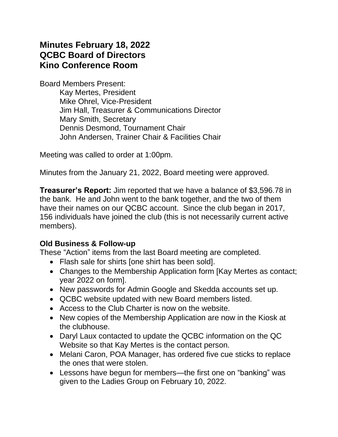# **Minutes February 18, 2022 QCBC Board of Directors Kino Conference Room**

Board Members Present:

Kay Mertes, President Mike Ohrel, Vice-President Jim Hall, Treasurer & Communications Director Mary Smith, Secretary Dennis Desmond, Tournament Chair John Andersen, Trainer Chair & Facilities Chair

Meeting was called to order at 1:00pm.

Minutes from the January 21, 2022, Board meeting were approved.

**Treasurer's Report:** Jim reported that we have a balance of \$3,596.78 in the bank. He and John went to the bank together, and the two of them have their names on our QCBC account. Since the club began in 2017, 156 individuals have joined the club (this is not necessarily current active members).

#### **Old Business & Follow-up**

These "Action" items from the last Board meeting are completed.

- Flash sale for shirts [one shirt has been sold].
- Changes to the Membership Application form [Kay Mertes as contact; year 2022 on form].
- New passwords for Admin Google and Skedda accounts set up.
- QCBC website updated with new Board members listed.
- Access to the Club Charter is now on the website.
- New copies of the Membership Application are now in the Kiosk at the clubhouse.
- Daryl Laux contacted to update the QCBC information on the QC Website so that Kay Mertes is the contact person.
- Melani Caron, POA Manager, has ordered five cue sticks to replace the ones that were stolen.
- Lessons have begun for members—the first one on "banking" was given to the Ladies Group on February 10, 2022.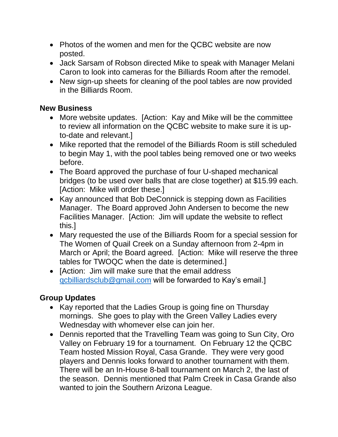- Photos of the women and men for the QCBC website are now posted.
- Jack Sarsam of Robson directed Mike to speak with Manager Melani Caron to look into cameras for the Billiards Room after the remodel.
- New sign-up sheets for cleaning of the pool tables are now provided in the Billiards Room.

#### **New Business**

- More website updates. [Action: Kay and Mike will be the committee to review all information on the QCBC website to make sure it is upto-date and relevant.]
- Mike reported that the remodel of the Billiards Room is still scheduled to begin May 1, with the pool tables being removed one or two weeks before.
- The Board approved the purchase of four U-shaped mechanical bridges (to be used over balls that are close together) at \$15.99 each. [Action: Mike will order these.]
- Kay announced that Bob DeConnick is stepping down as Facilities Manager. The Board approved John Andersen to become the new Facilities Manager. [Action: Jim will update the website to reflect this.]
- Mary requested the use of the Billiards Room for a special session for The Women of Quail Creek on a Sunday afternoon from 2-4pm in March or April; the Board agreed. [Action: Mike will reserve the three tables for TWOQC when the date is determined.]
- [Action: Jim will make sure that the email address [qcbilliardsclub@gmail.com](mailto:qcbilliardsclub@gmail.com) will be forwarded to Kay's email.]

#### **Group Updates**

- Kay reported that the Ladies Group is going fine on Thursday mornings. She goes to play with the Green Valley Ladies every Wednesday with whomever else can join her.
- Dennis reported that the Travelling Team was going to Sun City, Oro Valley on February 19 for a tournament. On February 12 the QCBC Team hosted Mission Royal, Casa Grande. They were very good players and Dennis looks forward to another tournament with them. There will be an In-House 8-ball tournament on March 2, the last of the season. Dennis mentioned that Palm Creek in Casa Grande also wanted to join the Southern Arizona League.